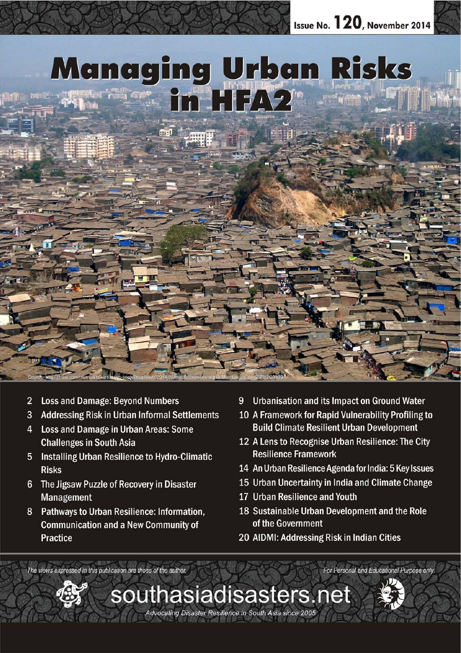

southasiadisasters.net

Advocating Disaster Resilience in South Asia since 2005

- $\overline{2}$ **Loss and Damage: Beyond Numbers**
- 3 **Addressing Risk in Urban Informal Settlements**
- Loss and Damage in Urban Areas: Some  $\overline{4}$ **Challenges in South Asia**
- **Installing Urban Resilience to Hydro-Climatic** 5 **Risks**
- 6 The Jigsaw Puzzle of Recovery in Disaster Management
- Pathways to Urban Resilience: Information, 8 **Communication and a New Community of Practice**
- Urbanisation and its Impact on Ground Water 9
- 10 A Framework for Rapid Vulnerability Profiling to **Build Climate Resilient Urban Development**
- 12 A Lens to Recognise Urban Resilience: The City **Resilience Framework**
- 14 An Urban Resilience Agenda for India: 5 Key Issues
- 15 Urban Uncertainty in India and Climate Change
- 17 Urban Resilience and Youth
- 18 Sustainable Urban Development and the Role of the Government

For Personal and Educational Purpose only

20 AIDMI: Addressing Risk in Indian Cities

The views expressed in this publication are those of the author.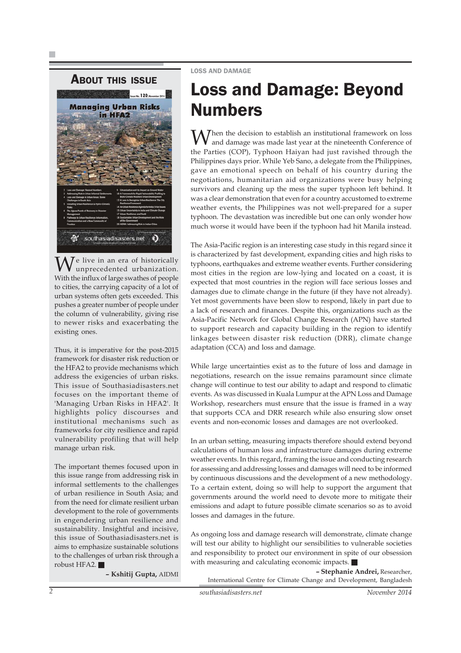## ABOUT THIS ISSUE



 $\mathcal T$ e live in an era of historically unprecedented urbanization. With the influx of large swathes of people to cities, the carrying capacity of a lot of urban systems often gets exceeded. This pushes a greater number of people under the column of vulnerability, giving rise to newer risks and exacerbating the existing ones.

Thus, it is imperative for the post-2015 framework for disaster risk reduction or the HFA2 to provide mechanisms which address the exigencies of urban risks. This issue of Southasiadisasters.net focuses on the important theme of 'Managing Urban Risks in HFA2'. It highlights policy discourses and institutional mechanisms such as frameworks for city resilience and rapid vulnerability profiling that will help manage urban risk.

The important themes focused upon in this issue range from addressing risk in informal settlements to the challenges of urban resilience in South Asia; and from the need for climate resilient urban development to the role of governments in engendering urban resilience and sustainability. Insightful and incisive, this issue of Southasiadisasters.net is aims to emphasize sustainable solutions to the challenges of urban risk through a robust HFA2.

**– Kshitij Gupta,** AIDMI

### LOSS AND DAMAGE

## Loss and Damage: Beyond Numbers

 $\bigvee$  hen the decision to establish an institutional framework on loss and damage was made last year at the nineteenth Conference of the Parties (COP), Typhoon Haiyan had just ravished through the Philippines days prior. While Yeb Sano, a delegate from the Philippines, gave an emotional speech on behalf of his country during the negotiations, humanitarian aid organizations were busy helping survivors and cleaning up the mess the super typhoon left behind. It was a clear demonstration that even for a country accustomed to extreme weather events, the Philippines was not well-prepared for a super typhoon. The devastation was incredible but one can only wonder how much worse it would have been if the typhoon had hit Manila instead.

The Asia-Pacific region is an interesting case study in this regard since it is characterized by fast development, expanding cities and high risks to typhoons, earthquakes and extreme weather events. Further considering most cities in the region are low-lying and located on a coast, it is expected that most countries in the region will face serious losses and damages due to climate change in the future (if they have not already). Yet most governments have been slow to respond, likely in part due to a lack of research and finances. Despite this, organizations such as the Asia-Pacific Network for Global Change Research (APN) have started to support research and capacity building in the region to identify linkages between disaster risk reduction (DRR), climate change adaptation (CCA) and loss and damage.

While large uncertainties exist as to the future of loss and damage in negotiations, research on the issue remains paramount since climate change will continue to test our ability to adapt and respond to climatic events. As was discussed in Kuala Lumpur at the APN Loss and Damage Workshop, researchers must ensure that the issue is framed in a way that supports CCA and DRR research while also ensuring slow onset events and non-economic losses and damages are not overlooked.

In an urban setting, measuring impacts therefore should extend beyond calculations of human loss and infrastructure damages during extreme weather events. In this regard, framing the issue and conducting research for assessing and addressing losses and damages will need to be informed by continuous discussions and the development of a new methodology. To a certain extent, doing so will help to support the argument that governments around the world need to devote more to mitigate their emissions and adapt to future possible climate scenarios so as to avoid losses and damages in the future.

As ongoing loss and damage research will demonstrate, climate change will test our ability to highlight our sensibilities to vulnerable societies and responsibility to protect our environment in spite of our obsession with measuring and calculating economic impacts.

**– Stephanie Andrei,** Researcher, International Centre for Climate Change and Development, Bangladesh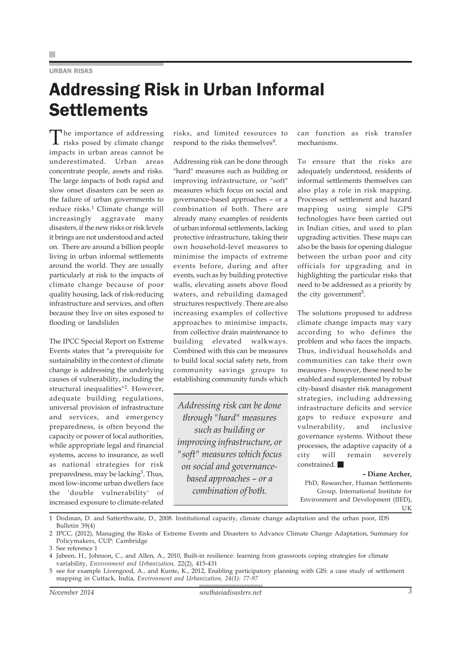### URBAN RISKS

## Addressing Risk in Urban Informal **Settlements**

The importance of addressing<br>risks posed by climate change impacts in urban areas cannot be underestimated. Urban areas concentrate people, assets and risks. The large impacts of both rapid and slow onset disasters can be seen as the failure of urban governments to reduce risks.<sup>1</sup> Climate change will increasingly aggravate many disasters, if the new risks or risk levels it brings are not understood and acted on. There are around a billion people living in urban informal settlements around the world. They are usually particularly at risk to the impacts of climate change because of poor quality housing, lack of risk-reducing infrastructure and services, and often because they live on sites exposed to flooding or landslides

The IPCC Special Report on Extreme Events states that "a prerequisite for sustainability in the context of climate change is addressing the underlying causes of vulnerability, including the structural inequalities"2. However, adequate building regulations, universal provision of infrastructure and services, and emergency preparedness, is often beyond the capacity or power of local authorities, while appropriate legal and financial systems, access to insurance, as well as national strategies for risk preparedness, may be lacking<sup>3</sup>. Thus, most low-income urban dwellers face the 'double vulnerability' of increased exposure to climate-related risks, and limited resources to respond to the risks themselves<sup>4</sup>.

Addressing risk can be done through "hard" measures such as building or improving infrastructure, or "soft" measures which focus on social and governance-based approaches – or a combination of both. There are already many examples of residents of urban informal settlements, lacking protective infrastructure, taking their own household-level measures to minimise the impacts of extreme events before, during and after events, such as by building protective walls, elevating assets above flood waters, and rebuilding damaged structures respectively. There are also increasing examples of collective approaches to minimise impacts, from collective drain maintenance to building elevated walkways. Combined with this can be measures to build local social safety nets, from community savings groups to establishing community funds which

*Addressing risk can be done through "hard" measures such as building or improving infrastructure, or "soft" measures which focus on social and governancebased approaches – or a combination of both.*

can function as risk transfer mechanisms.

To ensure that the risks are adequately understood, residents of informal settlements themselves can also play a role in risk mapping. Processes of settlement and hazard mapping using simple GPS technologies have been carried out in Indian cities, and used to plan upgrading activities. These maps can also be the basis for opening dialogue between the urban poor and city officials for upgrading and in highlighting the particular risks that need to be addressed as a priority by the city government<sup>5</sup>.

The solutions proposed to address climate change impacts may vary according to who defines the problem and who faces the impacts. Thus, individual households and communities can take their own measures - however, these need to be enabled and supplemented by robust city-based disaster risk management strategies, including addressing infrastructure deficits and service gaps to reduce exposure and vulnerability, and inclusive governance systems. Without these processes, the adaptive capacity of a city will remain severely constrained.

**– Diane Archer,** PhD, Researcher, Human Settlements Group, International Institute for Environment and Development (IIED),

UK

1 Dodman, D. and Satterthwaite, D., 2008. Institutional capacity, climate change adaptation and the urban poor, IDS Bulletin 39(4)

5 see for example Livengood, A., and Kunte, K., 2012, Enabling participatory planning with GIS: a case study of settlement mapping in Cuttack, India, *Environment and Urbanization, 24(1): 77-97*

<sup>2</sup> IPCC, (2012), Managing the Risks of Extreme Events and Disasters to Advance Climate Change Adaptation, Summary for Policymakers, CUP: Cambridge

<sup>3</sup> See reference 1

<sup>4</sup> Jabeen, H., Johnson, C., and Allen, A., 2010, Built-in resilience: learning from grassroots coping strategies for climate variability, *Environment and Urbanization,* 22(2), 415-431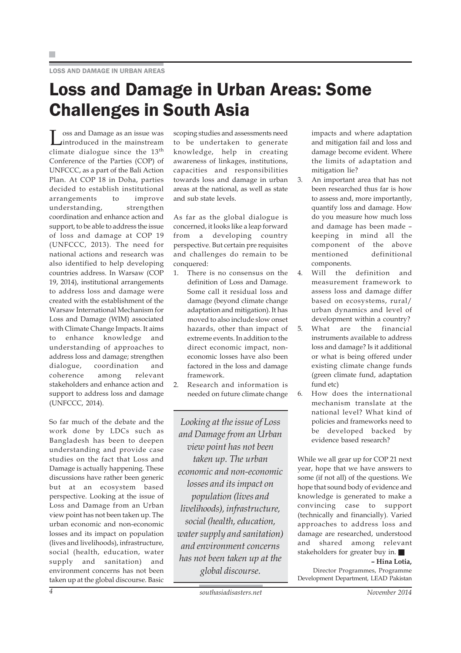## Loss and Damage in Urban Areas: Some Challenges in South Asia

Loss and Damage as an issue was introduced in the mainstream climate dialogue since the 13th Conference of the Parties (COP) of UNFCCC, as a part of the Bali Action Plan. At COP 18 in Doha, parties decided to establish institutional arrangements to improve understanding, strengthen coordination and enhance action and support, to be able to address the issue of loss and damage at COP 19 (UNFCCC, 2013). The need for national actions and research was also identified to help developing countries address. In Warsaw (COP 19, 2014), institutional arrangements to address loss and damage were created with the establishment of the Warsaw International Mechanism for Loss and Damage (WIM) associated with Climate Change Impacts. It aims to enhance knowledge and understanding of approaches to address loss and damage; strengthen dialogue, coordination and coherence among relevant stakeholders and enhance action and support to address loss and damage (UNFCCC, 2014).

So far much of the debate and the work done by LDCs such as Bangladesh has been to deepen understanding and provide case studies on the fact that Loss and Damage is actually happening. These discussions have rather been generic but at an ecosystem based perspective. Looking at the issue of Loss and Damage from an Urban view point has not been taken up. The urban economic and non-economic losses and its impact on population (lives and livelihoods), infrastructure, social (health, education, water supply and sanitation) and environment concerns has not been taken up at the global discourse. Basic

scoping studies and assessments need to be undertaken to generate knowledge, help in creating awareness of linkages, institutions, capacities and responsibilities towards loss and damage in urban areas at the national, as well as state and sub state levels.

As far as the global dialogue is concerned, it looks like a leap forward from a developing country perspective. But certain pre requisites and challenges do remain to be conquered:

- 1. There is no consensus on the definition of Loss and Damage. Some call it residual loss and damage (beyond climate change adaptation and mitigation). It has moved to also include slow onset hazards, other than impact of extreme events. In addition to the direct economic impact, noneconomic losses have also been factored in the loss and damage framework.
- 2. Research and information is needed on future climate change

*Looking at the issue of Loss and Damage from an Urban view point has not been taken up. The urban economic and non-economic losses and its impact on population (lives and livelihoods), infrastructure, social (health, education, water supply and sanitation) and environment concerns has not been taken up at the global discourse.*

impacts and where adaptation and mitigation fail and loss and damage become evident. Where the limits of adaptation and mitigation lie?

- 3. An important area that has not been researched thus far is how to assess and, more importantly, quantify loss and damage. How do you measure how much loss and damage has been made – keeping in mind all the component of the above mentioned definitional components.
- 4. Will the definition and measurement framework to assess loss and damage differ based on ecosystems, rural/ urban dynamics and level of development within a country?
- 5. What are the financial instruments available to address loss and damage? Is it additional or what is being offered under existing climate change funds (green climate fund, adaptation fund etc)
- 6. How does the international mechanism translate at the national level? What kind of policies and frameworks need to be developed backed by evidence based research?

While we all gear up for COP 21 next year, hope that we have answers to some (if not all) of the questions. We hope that sound body of evidence and knowledge is generated to make a convincing case to support (technically and financially). Varied approaches to address loss and damage are researched, understood and shared among relevant stakeholders for greater buy in.

### **– Hina Lotia,** Director Programmes, Programme Development Department, LEAD Pakistan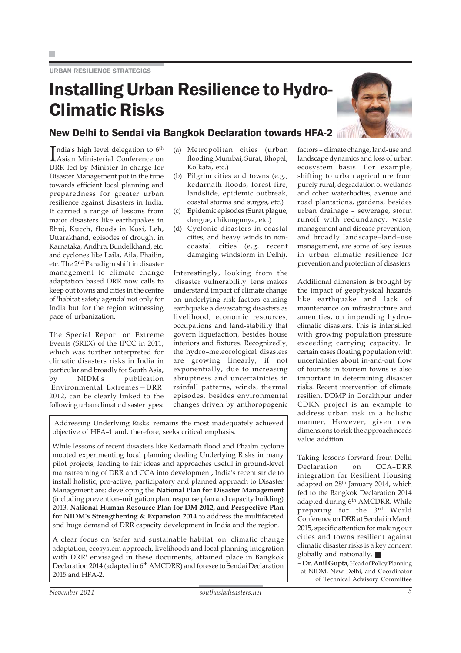## Installing Urban Resilience to Hydro-Climatic Risks



## New Delhi to Sendai via Bangkok Declaration towards HFA-2

India's high level delegation to 6<sup>th</sup><br>Asian Ministerial Conference on Asian Ministerial Conference on DRR led by Minister In-charge for Disaster Management put in the tune towards efficient local planning and preparedness for greater urban resilience against disasters in India. It carried a range of lessons from major disasters like earthquakes in Bhuj, Kucch, floods in Kosi, Leh, Uttarakhand, episodes of drought in Karnataka, Andhra, Bundelkhand, etc. and cyclones like Laila, Aila, Phailin, etc. The 2nd Paradigm shift in disaster management to climate change adaptation based DRR now calls to keep out towns and cities in the centre of 'habitat safety agenda' not only for India but for the region witnessing pace of urbanization.

The Special Report on Extreme Events (SREX) of the IPCC in 2011, which was further interpreted for climatic disasters risks in India in particular and broadly for South Asia, by NIDM's publication 'Environmental Extremes—DRR' 2012, can be clearly linked to the following urban climatic disaster types:

- (a) Metropolitan cities (urban flooding Mumbai, Surat, Bhopal, Kolkata, etc.)
- (b) Pilgrim cities and towns (e.g., kedarnath floods, forest fire, landslide, epidemic outbreak, coastal storms and surges, etc.)
- (c) Epidemic episodes (Surat plague, dengue, chikungunya, etc.)
- (d) Cyclonic disasters in coastal cities, and heavy winds in noncoastal cities (e.g. recent damaging windstorm in Delhi).

Interestingly, looking from the 'disaster vulnerability' lens makes understand impact of climate change on underlying risk factors causing earthquake a devastating disasters as livelihood, economic resources, occupations and land-stability that govern liquefaction, besides house interiors and fixtures. Recognizedly, the hydro–meteorological disasters are growing linearly, if not exponentially, due to increasing abruptness and uncertainities in rainfall patterns, winds, thermal episodes, besides environmental changes driven by anthoropogenic

'Addressing Underlying Risks' remains the most inadequately achieved objective of HFA–1 and, therefore, seeks critical emphasis.

While lessons of recent disasters like Kedarnath flood and Phailin cyclone mooted experimenting local planning dealing Underlying Risks in many pilot projects, leading to fair ideas and approaches useful in ground-level mainstreaming of DRR and CCA into development, India's recent stride to install holistic, pro-active, participatory and planned approach to Disaster Management are: developing the **National Plan for Disaster Management** (including prevention–mitigation plan, response plan and capacity building) 2013, **National Human Resource Plan for DM 2012, and Perspective Plan for NIDM's Strengthening & Expansion 2014** to address the multifaceted and huge demand of DRR capacity development in India and the region.

A clear focus on 'safer and sustainable habitat' on 'climatic change adaptation, ecosystem approach, livelihoods and local planning integration with DRR' envisaged in these documents, attained place in Bangkok Declaration 2014 (adapted in 6<sup>th</sup> AMCDRR) and foresee to Sendai Declaration 2015 and HFA-2.

landscape dynamics and loss of urban ecosystem basis. For example, shifting to urban agriculture from purely rural, degradation of wetlands and other waterbodies, avenue and road plantations, gardens, besides urban drainage – sewerage, storm runoff with redundancy, waste management and disease prevention, and broadly landscape–land–use management, are some of key issues in urban climatic resilience for prevention and protection of disasters.

factors – climate change, land-use and

Additional dimension is brought by the impact of geophysical hazards like earthquake and lack of maintenance on infrastructure and amenities, on impending hydro– climatic disasters. This is intensified with growing population pressure exceeding carrying capacity. In certain cases floating population with uncertainties about in-and-out flow of tourists in tourism towns is also important in determining disaster risks. Recent intervention of climate resilient DDMP in Gorakhpur under CDKN project is an example to address urban risk in a holistic manner, However, given new dimensions to risk the approach needs value addition.

Taking lessons forward from Delhi Declaration on CCA–DRR integration for Resilient Housing adapted on 28<sup>th</sup> January 2014, which fed to the Bangkok Declaration 2014 adapted during 6<sup>th</sup> AMCDRR. While preparing for the 3rd World Conference on DRR at Sendai in March 2015, specific attention for making our cities and towns resilient against climatic disaster risks is a key concern globally and nationally.

**– Dr. Anil Gupta,** Head of Policy Planning at NIDM, New Delhi, and Coordinator of Technical Advisory Committee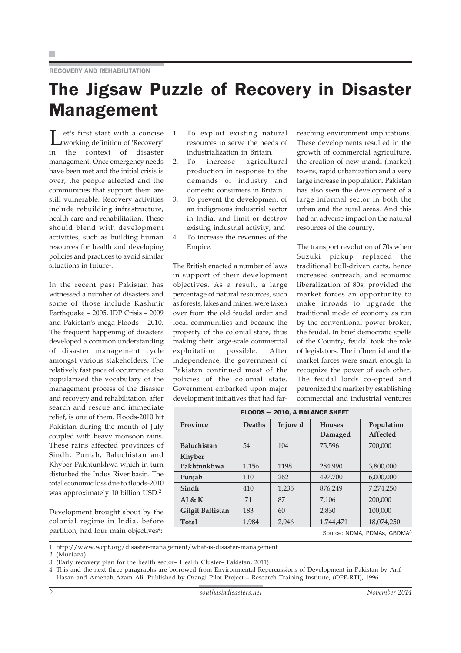## The Jigsaw Puzzle of Recovery in Disaster Management

Let's first start with a concise working definition of 'Recovery' in the context of disaster management. Once emergency needs have been met and the initial crisis is over, the people affected and the communities that support them are still vulnerable. Recovery activities include rebuilding infrastructure, health care and rehabilitation. These should blend with development activities, such as building human resources for health and developing policies and practices to avoid similar situations in future<sup>1</sup>.

In the recent past Pakistan has witnessed a number of disasters and some of those include Kashmir Earthquake – 2005, IDP Crisis – 2009 and Pakistan's mega Floods – 2010. The frequent happening of disasters developed a common understanding of disaster management cycle amongst various stakeholders. The relatively fast pace of occurrence also popularized the vocabulary of the management process of the disaster and recovery and rehabilitation, after search and rescue and immediate relief, is one of them. Floods-2010 hit Pakistan during the month of July coupled with heavy monsoon rains. These rains affected provinces of Sindh, Punjab, Baluchistan and Khyber Pakhtunkhwa which in turn disturbed the Indus River basin. The total economic loss due to floods-2010 was approximately 10 billion USD.2

Development brought about by the colonial regime in India, before partition, had four main objectives<sup>4</sup>:

- 1. To exploit existing natural resources to serve the needs of industrialization in Britain.
- 2. To increase agricultural production in response to the demands of industry and domestic consumers in Britain.
- 3. To prevent the development of an indigenous industrial sector in India, and limit or destroy existing industrial activity, and
- 4. To increase the revenues of the Empire.

The British enacted a number of laws in support of their development objectives. As a result, a large percentage of natural resources, such as forests, lakes and mines, were taken over from the old feudal order and local communities and became the property of the colonial state, thus making their large-scale commercial exploitation possible. After independence, the government of Pakistan continued most of the policies of the colonial state. Government embarked upon major development initiatives that had farreaching environment implications. These developments resulted in the growth of commercial agriculture, the creation of new mandi (market) towns, rapid urbanization and a very large increase in population. Pakistan has also seen the development of a large informal sector in both the urban and the rural areas. And this had an adverse impact on the natural resources of the country.

The transport revolution of 70s when Suzuki pickup replaced the traditional bull-driven carts, hence increased outreach, and economic liberalization of 80s, provided the market forces an opportunity to make inroads to upgrade the traditional mode of economy as run by the conventional power broker, the feudal. In brief democratic spells of the Country, feudal took the role of legislators. The influential and the market forces were smart enough to recognize the power of each other. The feudal lords co-opted and patronized the market by establishing commercial and industrial ventures

| FLOODS - 2010, A BALANCE SHEET |               |          |               |               |  |  |  |  |  |
|--------------------------------|---------------|----------|---------------|---------------|--|--|--|--|--|
| Province                       | <b>Deaths</b> | Injure d | <b>Houses</b> | Population    |  |  |  |  |  |
|                                |               |          | Damaged       | Affected      |  |  |  |  |  |
| <b>Baluchistan</b>             | 54            | 104      | 75,596        | 700,000       |  |  |  |  |  |
| <b>Khyber</b>                  |               |          |               |               |  |  |  |  |  |
| Pakhtunkhwa                    | 1,156         | 1198     | 284,990       | 3,800,000     |  |  |  |  |  |
| Punjab                         | 110           | 262      | 497.700       | 6,000,000     |  |  |  |  |  |
| Sindh                          | 410           | 1,235    | 876,249       | 7,274,250     |  |  |  |  |  |
| AJ & K                         | 71            | 87       | 7.106         | 200,000       |  |  |  |  |  |
| Gilgit Baltistan               | 183           | 60       | 2,830         | 100.000       |  |  |  |  |  |
| <b>Total</b>                   | 1,984         | 2,946    | 1,744,471     | 18.074.250    |  |  |  |  |  |
|                                |               |          |               | ----- ------- |  |  |  |  |  |

Source: NDMA, PDMAs, GBDMA3

1 http://www.wcpt.org/disaster-management/what-is-disaster-management

2 (Murtaza)

3 (Early recovery plan for the health sector– Health Cluster– Pakistan, 2011)

4 This and the next three paragraphs are borrowed from Environmental Repercussions of Development in Pakistan by Arif Hasan and Amenah Azam Ali, Published by Orangi Pilot Project – Research Training Institute, (OPP-RTI), 1996.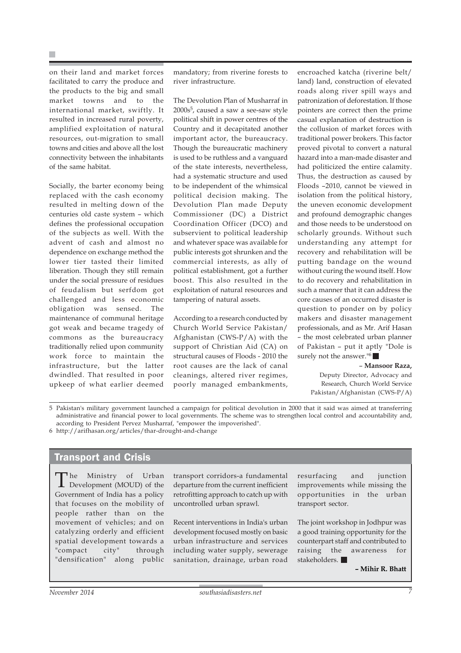on their land and market forces facilitated to carry the produce and the products to the big and small market towns and to the international market, swiftly. It resulted in increased rural poverty, amplified exploitation of natural resources, out-migration to small towns and cities and above all the lost connectivity between the inhabitants of the same habitat.

Socially, the barter economy being replaced with the cash economy resulted in melting down of the centuries old caste system – which defines the professional occupation of the subjects as well. With the advent of cash and almost no dependence on exchange method the lower tier tasted their limited liberation. Though they still remain under the social pressure of residues of feudalism but serfdom got challenged and less economic obligation was sensed. The maintenance of communal heritage got weak and became tragedy of commons as the bureaucracy traditionally relied upon community work force to maintain the infrastructure, but the latter dwindled. That resulted in poor upkeep of what earlier deemed

mandatory; from riverine forests to river infrastructure.

The Devolution Plan of Musharraf in 2000s5, caused a saw a see-saw style political shift in power centres of the Country and it decapitated another important actor, the bureaucracy. Though the bureaucratic machinery is used to be ruthless and a vanguard of the state interests, nevertheless, had a systematic structure and used to be independent of the whimsical political decision making. The Devolution Plan made Deputy Commissioner (DC) a District Coordination Officer (DCO) and subservient to political leadership and whatever space was available for public interests got shrunken and the commercial interests, as ally of political establishment, got a further boost. This also resulted in the exploitation of natural resources and tampering of natural assets.

According to a research conducted by Church World Service Pakistan/ Afghanistan (CWS-P/A) with the support of Christian Aid (CA) on structural causes of Floods - 2010 the root causes are the lack of canal cleanings, altered river regimes, poorly managed embankments,

encroached katcha (riverine belt/ land) land, construction of elevated roads along river spill ways and patronization of deforestation. If those pointers are correct then the prime casual explanation of destruction is the collusion of market forces with traditional power brokers. This factor proved pivotal to convert a natural hazard into a man-made disaster and had politicized the entire calamity. Thus, the destruction as caused by Floods –2010, cannot be viewed in isolation from the political history, the uneven economic development and profound demographic changes and those needs to be understood on scholarly grounds. Without such understanding any attempt for recovery and rehabilitation will be putting bandage on the wound without curing the wound itself. How to do recovery and rehabilitation in such a manner that it can address the core causes of an occurred disaster is question to ponder on by policy makers and disaster management professionals, and as Mr. Arif Hasan – the most celebrated urban planner of Pakistan – put it aptly "Dole is surely not the answer."<sup>6</sup>

#### – **Mansoor Raza,**

Deputy Director, Advocacy and Research, Church World Service Pakistan/Afghanistan (CWS-P/A)

5 Pakistan's military government launched a campaign for political devolution in 2000 that it said was aimed at transferring administrative and financial power to local governments. The scheme was to strengthen local control and accountability and, according to President Pervez Musharraf, "empower the impoverished". 6 http://arifhasan.org/articles/thar-drought-and-change

## Transport and Crisis

The Ministry of Urban Development (MOUD) of the Government of India has a policy that focuses on the mobility of people rather than on the movement of vehicles; and on catalyzing orderly and efficient spatial development towards a "compact city" through "densification" along public

transport corridors-a fundamental departure from the current inefficient retrofitting approach to catch up with uncontrolled urban sprawl.

Recent interventions in India's urban development focused mostly on basic urban infrastructure and services including water supply, sewerage sanitation, drainage, urban road

resurfacing and junction improvements while missing the opportunities in the urban transport sector.

The joint workshop in Jodhpur was a good training opportunity for the counterpart staff and contributed to raising the awareness for stakeholders.

**– Mihir R. Bhatt**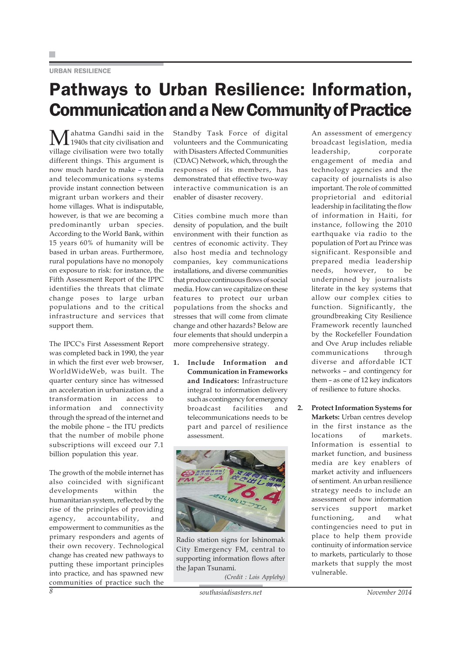### URBAN RESILIENCE

## Pathways to Urban Resilience: Information, Communication and a New Community of Practice

Mahatma Gandhi said in the<br>1940s that city civilisation and village civilisation were two totally different things. This argument is now much harder to make – media and telecommunications systems provide instant connection between migrant urban workers and their home villages. What is indisputable, however, is that we are becoming a predominantly urban species. According to the World Bank, within 15 years 60% of humanity will be based in urban areas. Furthermore, rural populations have no monopoly on exposure to risk: for instance, the Fifth Assessment Report of the IPPC identifies the threats that climate change poses to large urban populations and to the critical infrastructure and services that support them.

The IPCC's First Assessment Report was completed back in 1990, the year in which the first ever web browser, WorldWideWeb, was built. The quarter century since has witnessed an acceleration in urbanization and a transformation in access to information and connectivity through the spread of the internet and the mobile phone – the ITU predicts that the number of mobile phone subscriptions will exceed our 7.1 billion population this year.

The growth of the mobile internet has also coincided with significant developments within the humanitarian system, reflected by the rise of the principles of providing agency, accountability, and empowerment to communities as the primary responders and agents of their own recovery. Technological change has created new pathways to putting these important principles into practice, and has spawned new communities of practice such the Standby Task Force of digital volunteers and the Communicating with Disasters Affected Communities (CDAC) Network, which, through the responses of its members, has demonstrated that effective two-way interactive communication is an enabler of disaster recovery.

Cities combine much more than density of population, and the built environment with their function as centres of economic activity. They also host media and technology companies, key communications installations, and diverse communities that produce continuous flows of social media. How can we capitalize on these features to protect our urban populations from the shocks and stresses that will come from climate change and other hazards? Below are four elements that should underpin a more comprehensive strategy.

**1. Include Information and Communication in Frameworks and Indicators:** Infrastructure integral to information delivery such as contingency for emergency broadcast facilities and telecommunications needs to be part and parcel of resilience assessment.



Radio station signs for Ishinomak City Emergency FM, central to supporting information flows after the Japan Tsunami.

*(Credit : Lois Appleby)*

An assessment of emergency broadcast legislation, media leadership, corporate engagement of media and technology agencies and the capacity of journalists is also important. The role of committed proprietorial and editorial leadership in facilitating the flow of information in Haiti, for instance, following the 2010 earthquake via radio to the population of Port au Prince was significant. Responsible and prepared media leadership needs, however, to be underpinned by journalists literate in the key systems that allow our complex cities to function. Significantly, the groundbreaking City Resilience Framework recently launched by the Rockefeller Foundation and Ove Arup includes reliable communications through diverse and affordable ICT networks – and contingency for them – as one of 12 key indicators of resilience to future shocks.

**2. Protect Information Systems for Markets:** Urban centres develop in the first instance as the locations of markets. Information is essential to market function, and business media are key enablers of market activity and influencers of sentiment. An urban resilience strategy needs to include an assessment of how information services support market functioning, and what contingencies need to put in place to help them provide continuity of information service to markets, particularly to those markets that supply the most vulnerable.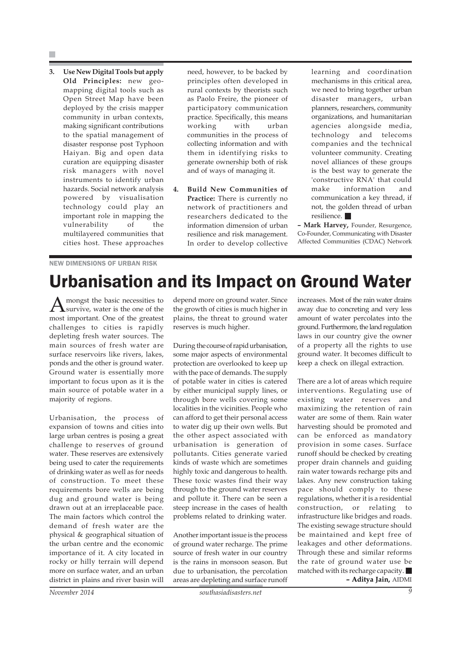**3. Use New Digital Tools but apply Old Principles:** new geomapping digital tools such as Open Street Map have been deployed by the crisis mapper community in urban contexts, making significant contributions to the spatial management of disaster response post Typhoon Haiyan. Big and open data curation are equipping disaster risk managers with novel instruments to identify urban hazards. Social network analysis powered by visualisation technology could play an important role in mapping the vulnerability of the multilayered communities that cities host. These approaches need, however, to be backed by principles often developed in rural contexts by theorists such as Paolo Freire, the pioneer of participatory communication practice. Specifically, this means working with urban communities in the process of collecting information and with them in identifying risks to generate ownership both of risk and of ways of managing it.

**4. Build New Communities of Practice:** There is currently no network of practitioners and researchers dedicated to the information dimension of urban resilience and risk management. In order to develop collective

learning and coordination mechanisms in this critical area, we need to bring together urban disaster managers, urban planners, researchers, community organizations, and humanitarian agencies alongside media, technology and telecoms companies and the technical volunteer community. Creating novel alliances of these groups is the best way to generate the 'constructive RNA' that could make information and communication a key thread, if not, the golden thread of urban resilience.

**– Mark Harvey,** Founder, Resurgence, Co-Founder, Communicating with Disaster Affected Communities (CDAC) Network

### NEW DIMENSIONS OF URBAN RISK

## Urbanisation and its Impact on Ground Water

mongst the basic necessities to survive, water is the one of the most important. One of the greatest challenges to cities is rapidly depleting fresh water sources. The main sources of fresh water are surface reservoirs like rivers, lakes, ponds and the other is ground water. Ground water is essentially more important to focus upon as it is the main source of potable water in a majority of regions.

Urbanisation, the process of expansion of towns and cities into large urban centres is posing a great challenge to reserves of ground water. These reserves are extensively being used to cater the requirements of drinking water as well as for needs of construction. To meet these requirements bore wells are being dug and ground water is being drawn out at an irreplaceable pace. The main factors which control the demand of fresh water are the physical & geographical situation of the urban centre and the economic importance of it. A city located in rocky or hilly terrain will depend more on surface water, and an urban district in plains and river basin will

depend more on ground water. Since the growth of cities is much higher in plains, the threat to ground water reserves is much higher.

During the course of rapid urbanisation, some major aspects of environmental protection are overlooked to keep up with the pace of demands. The supply of potable water in cities is catered by either municipal supply lines, or through bore wells covering some localities in the vicinities. People who can afford to get their personal access to water dig up their own wells. But the other aspect associated with urbanisation is generation of pollutants. Cities generate varied kinds of waste which are sometimes highly toxic and dangerous to health. These toxic wastes find their way through to the ground water reserves and pollute it. There can be seen a steep increase in the cases of health problems related to drinking water.

Another important issue is the process of ground water recharge. The prime source of fresh water in our country is the rains in monsoon season. But due to urbanisation, the percolation areas are depleting and surface runoff

increases. Most of the rain water drains away due to concreting and very less amount of water percolates into the ground. Furthermore, the land regulation laws in our country give the owner of a property all the rights to use ground water. It becomes difficult to keep a check on illegal extraction.

There are a lot of areas which require interventions. Regulating use of existing water reserves and maximizing the retention of rain water are some of them. Rain water harvesting should be promoted and can be enforced as mandatory provision in some cases. Surface runoff should be checked by creating proper drain channels and guiding rain water towards recharge pits and lakes. Any new construction taking pace should comply to these regulations, whether it is a residential construction, or relating to infrastructure like bridges and roads. The existing sewage structure should be maintained and kept free of leakages and other deformations. Through these and similar reforms the rate of ground water use be matched with its recharge capacity. **– Aditya Jain,** AIDMI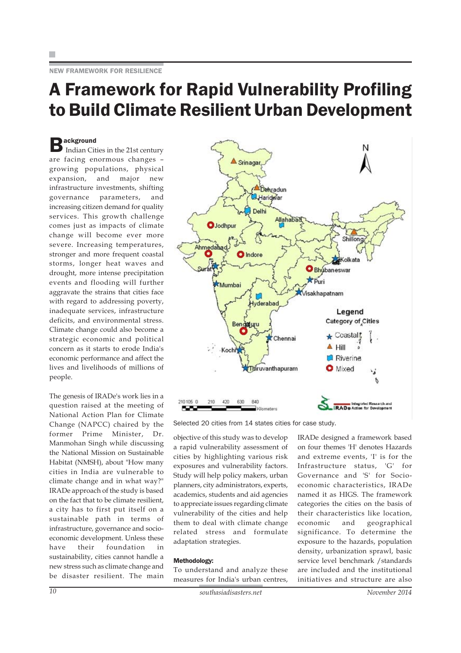## A Framework for Rapid Vulnerability Profiling to Build Climate Resilient Urban Development

 $\sum$  ackground<br>
Indian Cities in the 21st century are facing enormous changes – growing populations, physical expansion, and major new infrastructure investments, shifting governance parameters, and increasing citizen demand for quality services. This growth challenge comes just as impacts of climate change will become ever more severe. Increasing temperatures, stronger and more frequent coastal storms, longer heat waves and drought, more intense precipitation events and flooding will further aggravate the strains that cities face with regard to addressing poverty, inadequate services, infrastructure deficits, and environmental stress. Climate change could also become a strategic economic and political concern as it starts to erode India's economic performance and affect the lives and livelihoods of millions of people.

The genesis of IRADe's work lies in a question raised at the meeting of National Action Plan for Climate Change (NAPCC) chaired by the former Prime Minister, Dr. Manmohan Singh while discussing the National Mission on Sustainable Habitat (NMSH), about "How many cities in India are vulnerable to climate change and in what way?" IRADe approach of the study is based on the fact that to be climate resilient, a city has to first put itself on a sustainable path in terms of infrastructure, governance and socioeconomic development. Unless these have their foundation in sustainability, cities cannot handle a new stress such as climate change and be disaster resilient. The main



Selected 20 cities from 14 states cities for case study.

objective of this study was to develop a rapid vulnerability assessment of cities by highlighting various risk exposures and vulnerability factors. Study will help policy makers, urban planners, city administrators, experts, academics, students and aid agencies to appreciate issues regarding climate vulnerability of the cities and help them to deal with climate change related stress and formulate adaptation strategies.

#### Methodology:

To understand and analyze these measures for India's urban centres,

IRADe designed a framework based on four themes 'H' denotes Hazards and extreme events, 'I' is for the Infrastructure status, 'G' for Governance and 'S' for Socioeconomic characteristics, IRADe named it as HIGS. The framework categories the cities on the basis of their characteristics like location, economic and geographical significance. To determine the exposure to the hazards, population density, urbanization sprawl, basic service level benchmark /standards are included and the institutional initiatives and structure are also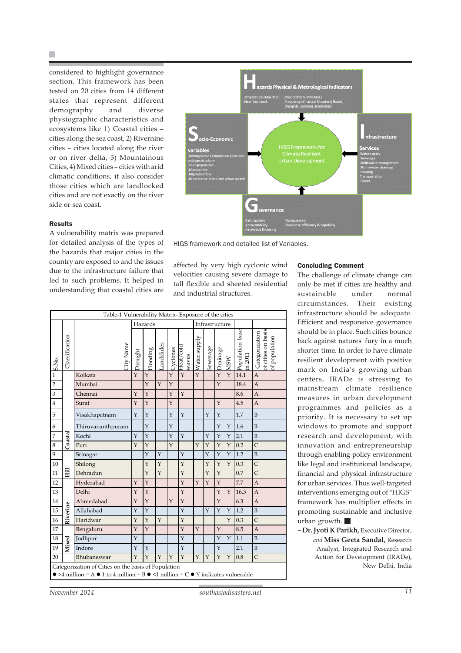H.

considered to highlight governance section. This framework has been tested on 20 cities from 14 different states that represent different demography and diverse physiographic characteristics and ecosystems like 1) Coastal cities – cities along the sea coast, 2) Rivernine cities – cities located along the river or on river delta, 3) Mountainous Cities, 4) Mixed cities – cities with arid climatic conditions, it also consider those cities which are landlocked cities and are not exactly on the river side or sea coast.



**Results** 

A vulnerability matrix was prepared for detailed analysis of the types of the hazards that major cities in the country are exposed to and the issues due to the infrastructure failure that led to such problems. It helped in understanding that coastal cities are



affected by very high cyclonic wind velocities causing severe damage to tall flexible and sheeted residential and industrial structures.

| Table-1 Vulnerability Matrix-Exposure of the cities                                                                                                                    |                |                   |                |          |            |         |                    |              |          |          |            |                           |                                                       |
|------------------------------------------------------------------------------------------------------------------------------------------------------------------------|----------------|-------------------|----------------|----------|------------|---------|--------------------|--------------|----------|----------|------------|---------------------------|-------------------------------------------------------|
|                                                                                                                                                                        |                |                   | Hazards        |          |            |         | Infrastructure     |              |          |          |            |                           |                                                       |
| S.No.                                                                                                                                                                  | Classification | City Name         | <b>Prought</b> | Flooding | Landslides | Cydones | Heat/cold<br>waves | Water supply | Sewerage | Drainage | <b>MSM</b> | Population base<br>n 2011 | of cities on basis<br>of population<br>Categorization |
| $\overline{1}$                                                                                                                                                         |                | Kolkata           | Y              | Y        |            | Y       | Y                  | $\mathbf{Y}$ |          | Y        | Y          | 14.1                      | $\mathbf{A}$                                          |
| $\overline{2}$                                                                                                                                                         |                | Mumbai            |                | Y        | Y          | Y       |                    |              |          | Y        |            | 18.4                      | $\overline{A}$                                        |
| $\overline{3}$                                                                                                                                                         |                | Chennai           | Y              | Y        |            | Y       | Y                  |              |          |          |            | 8.6                       | $\mathbf{A}$                                          |
| $\bf{4}$                                                                                                                                                               |                | Surat             | $\mathbf{Y}$   | Y        |            | Y       |                    |              |          | Y        |            | 4.5                       | $\mathbf{A}$                                          |
| 5                                                                                                                                                                      |                | Visakhapatnam     | Y              | Y        |            | Y       | Y                  |              | Y        | Y        |            | 1.7                       | B                                                     |
| 6                                                                                                                                                                      |                | Thiruvananthpuram |                | Y        |            | Y       |                    |              |          | Υ        | Υ          | 1.6                       | $\overline{B}$                                        |
| $\overline{7}$                                                                                                                                                         | Coastal        | Kochi             | Y              | Y        |            | Y       | $\mathbf{Y}$       |              | Y        | Y        | Y          | 2.1                       | $\overline{B}$                                        |
| $\,8\,$                                                                                                                                                                |                | Puri              | Y              | Y        |            | Y       |                    | Y            | Y        | Y        | Y          | 0.2                       | $\overline{C}$                                        |
| $\boldsymbol{9}$                                                                                                                                                       |                | Srinagar          |                | Y        | Y          |         | Y                  |              | Y        | Y        | Υ          | 1.2                       | $\, {\bf B}$                                          |
| 10                                                                                                                                                                     |                | Shilong           |                | Y        | Y          |         | Y                  |              | Y        | Y        | Y          | 0.3                       | $\overline{C}$                                        |
| 11                                                                                                                                                                     | 畐              | Dehradun          |                | Y        | Y          |         | Y                  |              | Y        | Y        |            | 0.7                       | $\overline{C}$                                        |
| 12                                                                                                                                                                     |                | Hyderabad         | Y              | Y        |            |         | Y                  | Y            | Y        | Y        |            | 7.7                       | $\overline{A}$                                        |
| 13                                                                                                                                                                     |                | Delhi             | Y              | Y        |            |         | Y                  |              |          | Y        | Y          | 16.3                      | $\mathbf{A}$                                          |
| 14                                                                                                                                                                     |                | Ahmedabad         | Y              | Y        |            | Y       | Y                  |              |          | Y        |            | 6.3                       | $\overline{A}$                                        |
| 15                                                                                                                                                                     | Riverine       | Allahabad         | Y              | Y        |            |         | Y                  |              | Y        | Y        | Y          | 1.2                       | B                                                     |
| 16                                                                                                                                                                     |                | Haridwar          | $\mathbf Y$    | Y        | Y          |         | Y                  |              |          |          | Υ          | 0.3                       | $\mathsf{C}$                                          |
| 17                                                                                                                                                                     |                | Bengaluru         | $\mathbf{Y}$   | Y        |            |         | Y                  | Y            |          | Y        |            | 8.5                       | A                                                     |
| 18                                                                                                                                                                     | Mixed          | Jodhpur           | Y              |          |            |         | Y                  |              |          | Y        | Y          | 1.1                       | $\overline{B}$                                        |
| 19                                                                                                                                                                     |                | Indore            | Y              | Y        |            |         | Y                  |              |          | Y        |            | 2.1                       | $\mathbf{B}$                                          |
| 20                                                                                                                                                                     |                | Bhubaneswar       | Y              | Y        | Y          | Y       | Y                  | Y            | Y        | Y        | Y          | 0.8                       | $\mathsf{C}$                                          |
| Categorization of Cities on the basis of Population<br>$\bullet$ >4 million = A $\bullet$ 1 to 4 million = B $\bullet$ <1 million = C $\bullet$ Y indicates vulnerable |                |                   |                |          |            |         |                    |              |          |          |            |                           |                                                       |
|                                                                                                                                                                        |                |                   |                |          |            |         |                    |              |          |          |            |                           |                                                       |

#### Concluding Comment

The challenge of climate change can only be met if cities are healthy and sustainable under normal circumstances. Their existing infrastructure should be adequate. Efficient and responsive governance should be in place. Such cities bounce back against natures' fury in a much shorter time. In order to have climate resilient development with positive mark on India's growing urban centers, IRADe is stressing to mainstream climate resilience measures in urban development programmes and policies as a priority. It is necessary to set up windows to promote and support research and development, with innovation and entrepreneurship through enabling policy environment like legal and institutional landscape, financial and physical infrastructure for urban services. Thus well-targeted interventions emerging out of "HIGS" framework has multiplier effects in promoting sustainable and inclusive urban growth.

**– Dr. Jyoti K Parikh,** Executive Director, *and* **Miss Geeta Sandal,** Research Analyst, Integrated Research and Action for Development (IRADe), New Delhi, India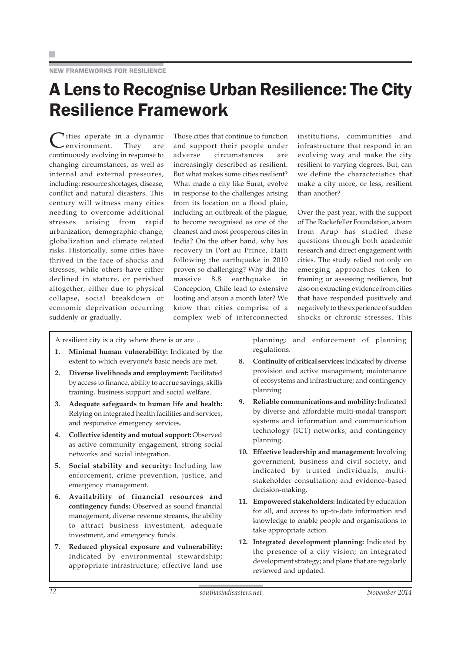## A Lens to Recognise Urban Resilience: The City Resilience Framework

Tities operate in a dynamic<br>environment. They are environment. continuously evolving in response to changing circumstances, as well as internal and external pressures, including: resource shortages, disease, conflict and natural disasters. This century will witness many cities needing to overcome additional stresses arising from rapid urbanization, demographic change, globalization and climate related risks. Historically, some cities have thrived in the face of shocks and stresses, while others have either declined in stature, or perished altogether, either due to physical collapse, social breakdown or economic deprivation occurring suddenly or gradually.

Those cities that continue to function and support their people under adverse circumstances are increasingly described as resilient. But what makes some cities resilient? What made a city like Surat, evolve in response to the challenges arising from its location on a flood plain, including an outbreak of the plague, to become recognised as one of the cleanest and most prosperous cites in India? On the other hand, why has recovery in Port au Prince, Haiti following the earthquake in 2010 proven so challenging? Why did the massive 8.8 earthquake in Concepcion, Chile lead to extensive looting and arson a month later? We know that cities comprise of a complex web of interconnected

institutions, communities and infrastructure that respond in an evolving way and make the city resilient to varying degrees. But, can we define the characteristics that make a city more, or less, resilient than another?

Over the past year, with the support of The Rockefeller Foundation, a team from Arup has studied these questions through both academic research and direct engagement with cities. The study relied not only on emerging approaches taken to framing or assessing resilience, but also on extracting evidence from cities that have responded positively and negatively to the experience of sudden shocks or chronic stresses. This

A resilient city is a city where there is or are…

- **1. Minimal human vulnerability:** Indicated by the extent to which everyone's basic needs are met.
- **2. Diverse livelihoods and employment:** Facilitated by access to finance, ability to accrue savings, skills training, business support and social welfare.
- **3. Adequate safeguards to human life and health:** Relying on integrated health facilities and services, and responsive emergency services.
- **4. Collective identity and mutual support:** Observed as active community engagement, strong social networks and social integration.
- **5. Social stability and security:** Including law enforcement, crime prevention, justice, and emergency management.
- **6. Availability of financial resources and contingency funds:** Observed as sound financial management, diverse revenue streams, the ability to attract business investment, adequate investment, and emergency funds.
- **7. Reduced physical exposure and vulnerability:** Indicated by environmental stewardship; appropriate infrastructure; effective land use

planning; and enforcement of planning regulations.

- **8. Continuity of critical services:** Indicated by diverse provision and active management; maintenance of ecosystems and infrastructure; and contingency planning
- **9. Reliable communications and mobility:** Indicated by diverse and affordable multi-modal transport systems and information and communication technology (ICT) networks; and contingency planning.
- **10. Effective leadership and management:** Involving government, business and civil society, and indicated by trusted individuals; multistakeholder consultation; and evidence-based decision-making.
- **11. Empowered stakeholders:** Indicated by education for all, and access to up-to-date information and knowledge to enable people and organisations to take appropriate action.
- **12. Integrated development planning:** Indicated by the presence of a city vision; an integrated development strategy; and plans that are regularly reviewed and updated.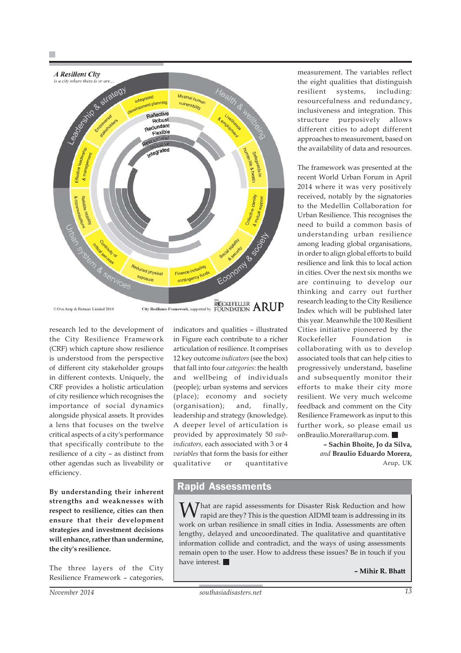

© Ove Arup & Partners Limited 2014

research led to the development of the City Resilience Framework (CRF) which capture show resilience is understood from the perspective of different city stakeholder groups in different contexts. Uniquely, the CRF provides a holistic articulation of city resilience which recognises the importance of social dynamics alongside physical assets. It provides a lens that focuses on the twelve critical aspects of a city's performance that specifically contribute to the resilience of a city – as distinct from other agendas such as liveability or efficiency.

**By understanding their inherent strengths and weaknesses with respect to resilience, cities can then ensure that their development strategies and investment decisions will enhance, rather than undermine, the city's resilience.**

The three layers of the City Resilience Framework – categories, indicators and qualities – illustrated in Figure each contribute to a richer articulation of resilience. It comprises 12 key outcome *indicators* (see the box) that fall into four *categories:* the health and wellbeing of individuals (people); urban systems and services (place); economy and society (organisation); and, finally, leadership and strategy (knowledge). A deeper level of articulation is provided by approximately 50 *subindicators,* each associated with 3 or 4 *variables* that form the basis for either qualitative or quantitative

measurement. The variables reflect the eight qualities that distinguish resilient systems, including: resourcefulness and redundancy, inclusiveness and integration. This structure purposively allows different cities to adopt different approaches to measurement, based on the availability of data and resources.

The framework was presented at the recent World Urban Forum in April 2014 where it was very positively received, notably by the signatories to the Medellin Collaboration for Urban Resilience. This recognises the need to build a common basis of understanding urban resilience among leading global organisations, in order to align global efforts to build resilience and link this to local action in cities. Over the next six months we are continuing to develop our thinking and carry out further research leading to the City Resilience Index which will be published later this year. Meanwhile the 100 Resilient Cities initiative pioneered by the Rockefeller Foundation is collaborating with us to develop associated tools that can help cities to progressively understand, baseline and subsequently monitor their efforts to make their city more resilient. We very much welcome feedback and comment on the City Resilience Framework as input to this further work, so please email us onBraulio.Morera@arup.com.

> **– Sachin Bhoite, Jo da Silva,** *and* **Braulio Eduardo Morera,** Arup, UK

## Rapid Assessments

W hat are rapid assessments for Disaster Risk Reduction and how rapid are they? This is the question AIDMI team is addressing in its work on urban resilience in small cities in India. Assessments are often lengthy, delayed and uncoordinated. The qualitative and quantitative information collide and contradict, and the ways of using assessments remain open to the user. How to address these issues? Be in touch if you have interest.

**– Mihir R. Bhatt**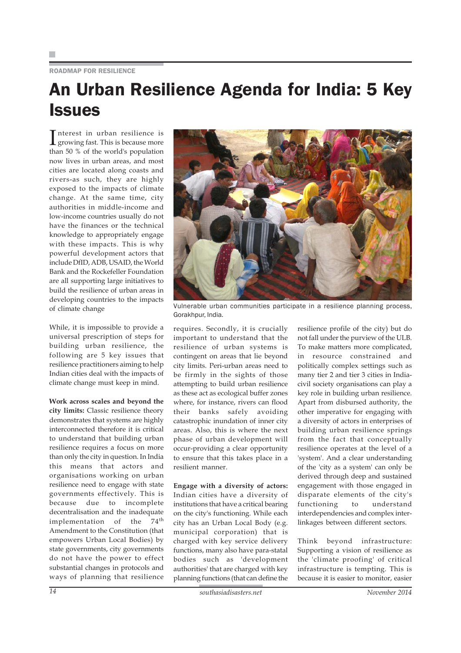### ROADMAP FOR RESILIENCE

## An Urban Resilience Agenda for India: 5 Key **Issues**

Interest in urban resilience is<br>growing fast. This is because more growing fast. This is because more than 50 % of the world's population now lives in urban areas, and most cities are located along coasts and rivers-as such, they are highly exposed to the impacts of climate change. At the same time, city authorities in middle-income and low-income countries usually do not have the finances or the technical knowledge to appropriately engage with these impacts. This is why powerful development actors that include DfID, ADB, USAID, the World Bank and the Rockefeller Foundation are all supporting large initiatives to build the resilience of urban areas in developing countries to the impacts of climate change

While, it is impossible to provide a universal prescription of steps for building urban resilience, the following are 5 key issues that resilience practitioners aiming to help Indian cities deal with the impacts of climate change must keep in mind.

**Work across scales and beyond the city limits:** Classic resilience theory demonstrates that systems are highly interconnected therefore it is critical to understand that building urban resilience requires a focus on more than only the city in question. In India this means that actors and organisations working on urban resilience need to engage with state governments effectively. This is because due to incomplete decentralisation and the inadequate implementation of the 74<sup>th</sup> Amendment to the Constitution (that empowers Urban Local Bodies) by state governments, city governments do not have the power to effect substantial changes in protocols and ways of planning that resilience



Vulnerable urban communities participate in a resilience planning process, Gorakhpur, India.

requires. Secondly, it is crucially important to understand that the resilience of urban systems is contingent on areas that lie beyond city limits. Peri-urban areas need to be firmly in the sights of those attempting to build urban resilience as these act as ecological buffer zones where, for instance, rivers can flood their banks safely avoiding catastrophic inundation of inner city areas. Also, this is where the next phase of urban development will occur-providing a clear opportunity to ensure that this takes place in a resilient manner.

**Engage with a diversity of actors:** Indian cities have a diversity of institutions that have a critical bearing on the city's functioning. While each city has an Urban Local Body (e.g. municipal corporation) that is charged with key service delivery functions, many also have para-statal bodies such as 'development authorities' that are charged with key planning functions (that can define the

resilience profile of the city) but do not fall under the purview of the ULB. To make matters more complicated, in resource constrained and politically complex settings such as many tier 2 and tier 3 cities in Indiacivil society organisations can play a key role in building urban resilience. Apart from disbursed authority, the other imperative for engaging with a diversity of actors in enterprises of building urban resilience springs from the fact that conceptually resilience operates at the level of a 'system'. And a clear understanding of the 'city as a system' can only be derived through deep and sustained engagement with those engaged in disparate elements of the city's functioning to understand interdependencies and complex interlinkages between different sectors.

Think beyond infrastructure: Supporting a vision of resilience as the 'climate proofing' of critical infrastructure is tempting. This is because it is easier to monitor, easier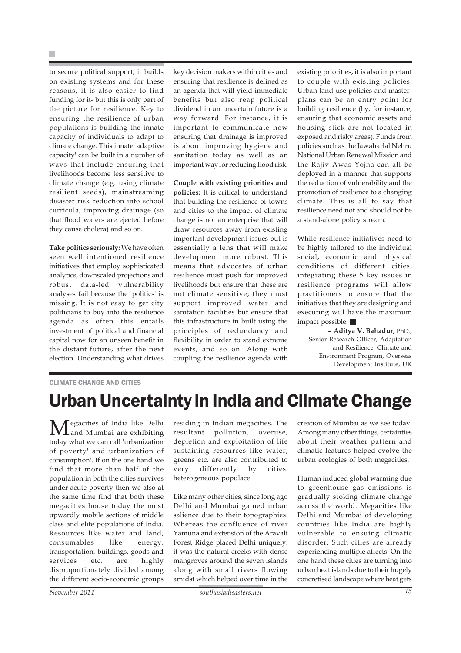H.

to secure political support, it builds on existing systems and for these reasons, it is also easier to find funding for it- but this is only part of the picture for resilience. Key to ensuring the resilience of urban populations is building the innate capacity of individuals to adapt to climate change. This innate 'adaptive capacity' can be built in a number of ways that include ensuring that livelihoods become less sensitive to climate change (e.g. using climate resilient seeds), mainstreaming disaster risk reduction into school curricula, improving drainage (so that flood waters are ejected before they cause cholera) and so on.

**Take politics seriously:** We have often seen well intentioned resilience initiatives that employ sophisticated analytics, downscaled projections and robust data-led vulnerability analyses fail because the 'politics' is missing. It is not easy to get city politicians to buy into the resilience agenda as often this entails investment of political and financial capital now for an unseen benefit in the distant future, after the next election. Understanding what drives key decision makers within cities and ensuring that resilience is defined as an agenda that will yield immediate benefits but also reap political dividend in an uncertain future is a way forward. For instance, it is important to communicate how ensuring that drainage is improved is about improving hygiene and sanitation today as well as an important way for reducing flood risk.

**Couple with existing priorities and policies:** It is critical to understand that building the resilience of towns and cities to the impact of climate change is not an enterprise that will draw resources away from existing important development issues but is essentially a lens that will make development more robust. This means that advocates of urban resilience must push for improved livelihoods but ensure that these are not climate sensitive; they must support improved water and sanitation facilities but ensure that this infrastructure in built using the principles of redundancy and flexibility in order to stand extreme events, and so on. Along with coupling the resilience agenda with existing priorities, it is also important to couple with existing policies. Urban land use policies and masterplans can be an entry point for building resilience (by, for instance, ensuring that economic assets and housing stick are not located in exposed and risky areas). Funds from policies such as the Jawaharlal Nehru National Urban Renewal Mission and the Rajiv Awas Yojna can all be deployed in a manner that supports the reduction of vulnerability and the promotion of resilience to a changing climate. This is all to say that resilience need not and should not be a stand-alone policy stream.

While resilience initiatives need to be highly tailored to the individual social, economic and physical conditions of different cities, integrating these 5 key issues in resilience programs will allow practitioners to ensure that the initiatives that they are designing and executing will have the maximum impact possible.

**– Aditya V. Bahadur,** PhD., Senior Research Officer, Adaptation and Resilience, Climate and Environment Program, Overseas Development Institute, UK

### CLIMATE CHANGE AND CITIES

## Urban Uncertainty in India and Climate Change

Megacities of India like Delhi and Mumbai are exhibiting today what we can call 'urbanization of poverty' and urbanization of consumption'. If on the one hand we find that more than half of the population in both the cities survives under acute poverty then we also at the same time find that both these megacities house today the most upwardly mobile sections of middle class and elite populations of India. Resources like water and land, consumables like energy, transportation, buildings, goods and services etc. are highly disproportionately divided among the different socio-economic groups

residing in Indian megacities. The resultant pollution, overuse, depletion and exploitation of life sustaining resources like water, greens etc. are also contributed to very differently by cities' heterogeneous populace.

Like many other cities, since long ago Delhi and Mumbai gained urban salience due to their topographies. Whereas the confluence of river Yamuna and extension of the Aravali Forest Ridge placed Delhi uniquely, it was the natural creeks with dense mangroves around the seven islands along with small rivers flowing amidst which helped over time in the

creation of Mumbai as we see today. Among many other things, certainties about their weather pattern and climatic features helped evolve the urban ecologies of both megacities.

Human induced global warming due to greenhouse gas emissions is gradually stoking climate change across the world. Megacities like Delhi and Mumbai of developing countries like India are highly vulnerable to ensuing climatic disorder. Such cities are already experiencing multiple affects. On the one hand these cities are turning into urban heat islands due to their hugely concretised landscape where heat gets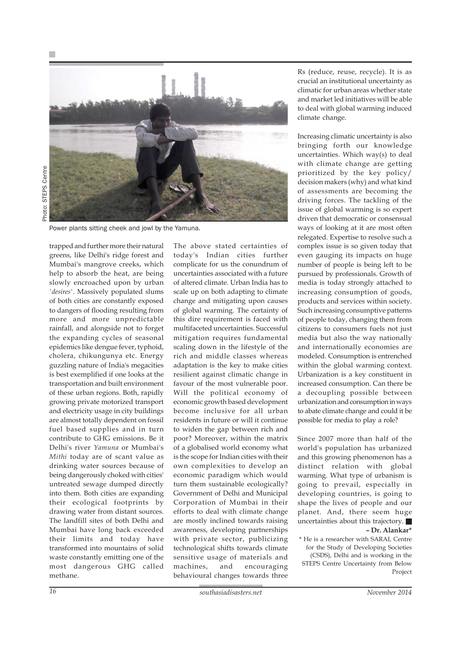

Photo: STEPS CentrePhoto: STEPS Centre

Power plants sitting cheek and jowl by the Yamuna.

trapped and further more their natural greens, like Delhi's ridge forest and Mumbai's mangrove creeks, which help to absorb the heat, are being slowly encroached upon by urban *'desires'*. Massively populated slums of both cities are constantly exposed to dangers of flooding resulting from more and more unpredictable rainfall, and alongside not to forget the expanding cycles of seasonal epidemics like dengue fever, typhoid, cholera, chikungunya etc. Energy guzzling nature of India's megacities is best exemplified if one looks at the transportation and built environment of these urban regions. Both, rapidly growing private motorized transport and electricity usage in city buildings are almost totally dependent on fossil fuel based supplies and in turn contribute to GHG emissions. Be it Delhi's river *Yamuna* or Mumbai's *Mithi* today are of scant value as drinking water sources because of being dangerously choked with cities' untreated sewage dumped directly into them. Both cities are expanding their ecological footprints by drawing water from distant sources. The landfill sites of both Delhi and Mumbai have long back exceeded their limits and today have transformed into mountains of solid waste constantly emitting one of the most dangerous GHG called methane.

The above stated certainties of today's Indian cities further complicate for us the conundrum of uncertainties associated with a future of altered climate. Urban India has to scale up on both adapting to climate change and mitigating upon causes of global warming. The certainty of this dire requirement is faced with multifaceted uncertainties. Successful mitigation requires fundamental scaling down in the lifestyle of the rich and middle classes whereas adaptation is the key to make cities resilient against climatic change in favour of the most vulnerable poor. Will the political economy of economic growth based development become inclusive for all urban residents in future or will it continue to widen the gap between rich and poor? Moreover, within the matrix of a globalised world economy what is the scope for Indian cities with their own complexities to develop an economic paradigm which would turn them sustainable ecologically? Government of Delhi and Municipal Corporation of Mumbai in their efforts to deal with climate change are mostly inclined towards raising awareness, developing partnerships with private sector, publicizing technological shifts towards climate sensitive usage of materials and machines, and encouraging behavioural changes towards three

Rs (reduce, reuse, recycle). It is as crucial an institutional uncertainty as climatic for urban areas whether state and market led initiatives will be able to deal with global warming induced climate change.

Increasing climatic uncertainty is also bringing forth our knowledge uncertainties. Which way(s) to deal with climate change are getting prioritized by the key policy/ decision makers (why) and what kind of assessments are becoming the driving forces. The tackling of the issue of global warming is so expert driven that democratic or consensual ways of looking at it are most often relegated. Expertise to resolve such a complex issue is so given today that even gauging its impacts on huge number of people is being left to be pursued by professionals. Growth of media is today strongly attached to increasing consumption of goods, products and services within society. Such increasing consumptive patterns of people today, changing them from citizens to consumers fuels not just media but also the way nationally and internationally economies are modeled. Consumption is entrenched within the global warming context. Urbanization is a key constituent in increased consumption. Can there be a decoupling possible between urbanization and consumption in ways to abate climate change and could it be possible for media to play a role?

Since 2007 more than half of the world's population has urbanized and this growing phenomenon has a distinct relation with global warming. What type of urbanism is going to prevail, especially in developing countries, is going to shape the lives of people and our planet. And, there seem huge uncertainties about this trajectory. **– Dr. Alankar\***

\* He is a researcher with SARAI, Centre for the Study of Developing Societies (CSDS), Delhi and is working in the STEPS Centre Uncertainty from Below Project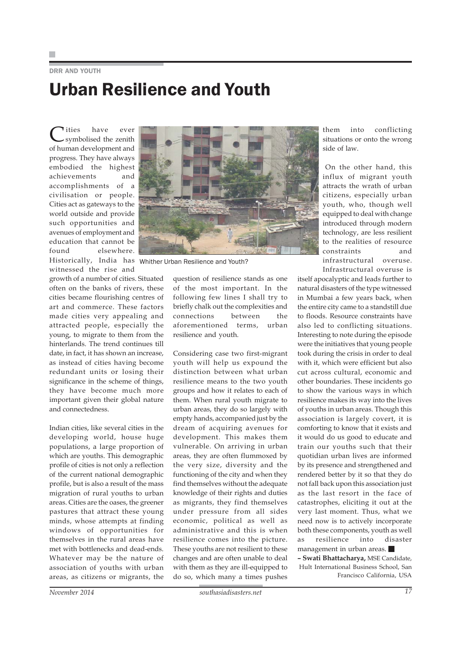DRR AND YOUTH

# Urban Resilience and Youth

Cities have ever symbolised the zenith of human development and progress. They have always embodied the highest achievements and accomplishments of a civilisation or people. Cities act as gateways to the world outside and provide such opportunities and avenues of employment and education that cannot be found elsewhere. Historically, India has Whither Urban Resilience and Youth?witnessed the rise and

growth of a number of cities. Situated often on the banks of rivers, these cities became flourishing centres of art and commerce. These factors made cities very appealing and attracted people, especially the young, to migrate to them from the hinterlands. The trend continues till date, in fact, it has shown an increase, as instead of cities having become redundant units or losing their significance in the scheme of things, they have become much more important given their global nature and connectedness.

Indian cities, like several cities in the developing world, house huge populations, a large proportion of which are youths. This demographic profile of cities is not only a reflection of the current national demographic profile, but is also a result of the mass migration of rural youths to urban areas. Cities are the oases, the greener pastures that attract these young minds, whose attempts at finding windows of opportunities for themselves in the rural areas have met with bottlenecks and dead-ends. Whatever may be the nature of association of youths with urban areas, as citizens or migrants, the



question of resilience stands as one of the most important. In the following few lines I shall try to briefly chalk out the complexities and connections between the aforementioned terms, urban resilience and youth.

Considering case two first-migrant youth will help us expound the distinction between what urban resilience means to the two youth groups and how it relates to each of them. When rural youth migrate to urban areas, they do so largely with empty hands, accompanied just by the dream of acquiring avenues for development. This makes them vulnerable. On arriving in urban areas, they are often flummoxed by the very size, diversity and the functioning of the city and when they find themselves without the adequate knowledge of their rights and duties as migrants, they find themselves under pressure from all sides economic, political as well as administrative and this is when resilience comes into the picture. These youths are not resilient to these changes and are often unable to deal with them as they are ill-equipped to do so, which many a times pushes

them into conflicting situations or onto the wrong side of law.

On the other hand, this influx of migrant youth attracts the wrath of urban citizens, especially urban youth, who, though well equipped to deal with change introduced through modern technology, are less resilient to the realities of resource constraints and infrastructural overuse. Infrastructural overuse is

itself apocalyptic and leads further to natural disasters of the type witnessed in Mumbai a few years back, when the entire city came to a standstill due to floods. Resource constraints have also led to conflicting situations. Interesting to note during the episode were the initiatives that young people took during the crisis in order to deal with it, which were efficient but also cut across cultural, economic and other boundaries. These incidents go to show the various ways in which resilience makes its way into the lives of youths in urban areas. Though this association is largely covert, it is comforting to know that it exists and it would do us good to educate and train our youths such that their quotidian urban lives are informed by its presence and strengthened and rendered better by it so that they do not fall back upon this association just as the last resort in the face of catastrophes, eliciting it out at the very last moment. Thus, what we need now is to actively incorporate both these components, youth as well as resilience into disaster management in urban areas.

**– Swati Bhattacharya,** MSE Candidate, Hult International Business School, San Francisco California, USA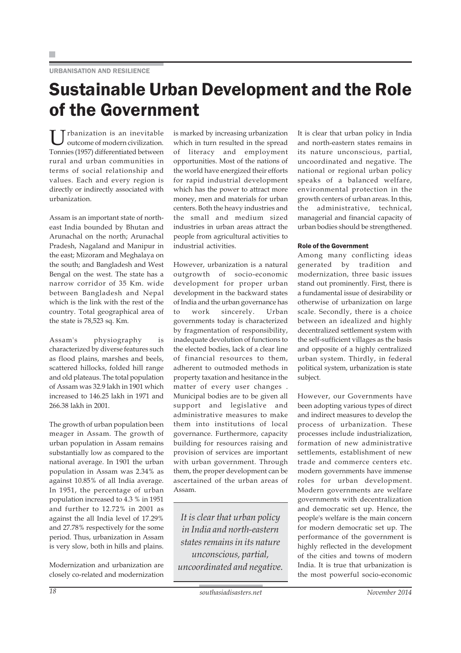URBANISATION AND RESILIENCE

## Sustainable Urban Development and the Role of the Government

 $\prod$   $\Gamma$ <sup>thanization</sup> is an inevitable outcome of modern civilization. Tonnies (1957) differentiated between rural and urban communities in terms of social relationship and values. Each and every region is directly or indirectly associated with urbanization.

Assam is an important state of northeast India bounded by Bhutan and Arunachal on the north; Arunachal Pradesh, Nagaland and Manipur in the east; Mizoram and Meghalaya on the south; and Bangladesh and West Bengal on the west. The state has a narrow corridor of 35 Km. wide between Bangladesh and Nepal which is the link with the rest of the country. Total geographical area of the state is 78,523 sq. Km.

Assam's physiography is characterized by diverse features such as flood plains, marshes and beels, scattered hillocks, folded hill range and old plateaus. The total population of Assam was 32.9 lakh in 1901 which increased to 146.25 lakh in 1971 and 266.38 lakh in 2001.

The growth of urban population been meager in Assam. The growth of urban population in Assam remains substantially low as compared to the national average. In 1901 the urban population in Assam was 2.34% as against 10.85% of all India average. In 1951, the percentage of urban population increased to 4.3 % in 1951 and further to 12.72% in 2001 as against the all India level of 17.29% and 27.78% respectively for the some period. Thus, urbanization in Assam is very slow, both in hills and plains.

Modernization and urbanization are closely co-related and modernization is marked by increasing urbanization which in turn resulted in the spread of literacy and employment opportunities. Most of the nations of the world have energized their efforts for rapid industrial development which has the power to attract more money, men and materials for urban centers. Both the heavy industries and the small and medium sized industries in urban areas attract the people from agricultural activities to industrial activities.

However, urbanization is a natural outgrowth of socio-economic development for proper urban development in the backward states of India and the urban governance has to work sincerely. Urban governments today is characterized by fragmentation of responsibility, inadequate devolution of functions to the elected bodies, lack of a clear line of financial resources to them, adherent to outmoded methods in property taxation and hesitance in the matter of every user changes . Municipal bodies are to be given all support and legislative and administrative measures to make them into institutions of local governance. Furthermore, capacity building for resources raising and provision of services are important with urban government. Through them, the proper development can be ascertained of the urban areas of Assam.

*It is clear that urban policy in India and north-eastern states remains in its nature unconscious, partial, uncoordinated and negative.* It is clear that urban policy in India and north-eastern states remains in its nature unconscious, partial, uncoordinated and negative. The national or regional urban policy speaks of a balanced welfare, environmental protection in the growth centers of urban areas. In this, the administrative, technical, managerial and financial capacity of urban bodies should be strengthened.

### Role of the Government

Among many conflicting ideas generated by tradition and modernization, three basic issues stand out prominently. First, there is a fundamental issue of desirability or otherwise of urbanization on large scale. Secondly, there is a choice between an idealized and highly decentralized settlement system with the self-sufficient villages as the basis and opposite of a highly centralized urban system. Thirdly, in federal political system, urbanization is state subject.

However, our Governments have been adopting various types of direct and indirect measures to develop the process of urbanization. These processes include industrialization, formation of new administrative settlements, establishment of new trade and commerce centers etc. modern governments have immense roles for urban development. Modern governments are welfare governments with decentralization and democratic set up. Hence, the people's welfare is the main concern for modern democratic set up. The performance of the government is highly reflected in the development of the cities and towns of modern India. It is true that urbanization is the most powerful socio-economic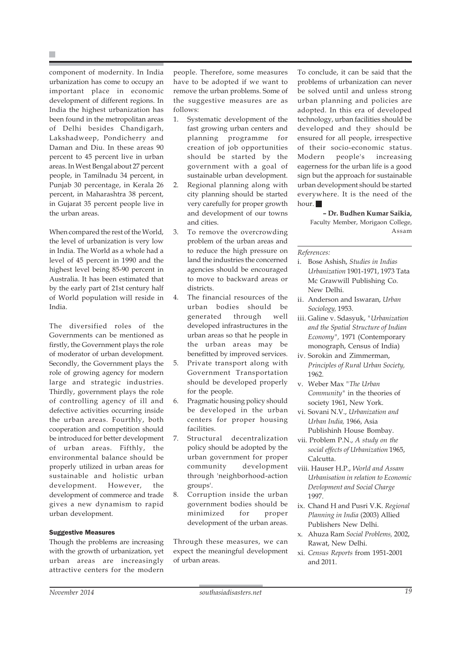P.

component of modernity. In India urbanization has come to occupy an important place in economic development of different regions. In India the highest urbanization has been found in the metropolitan areas of Delhi besides Chandigarh, Lakshadweep, Pondicherry and Daman and Diu. In these areas 90 percent to 45 percent live in urban areas. In West Bengal about 27 percent people, in Tamilnadu 34 percent, in Punjab 30 percentage, in Kerala 26 percent, in Maharashtra 38 percent, in Gujarat 35 percent people live in the urban areas.

When compared the rest of the World, the level of urbanization is very low in India. The World as a whole had a level of 45 percent in 1990 and the highest level being 85-90 percent in Australia. It has been estimated that by the early part of 21st century half of World population will reside in India.

The diversified roles of the Governments can be mentioned as firstly, the Government plays the role of moderator of urban development. Secondly, the Government plays the role of growing agency for modern large and strategic industries. Thirdly, government plays the role of controlling agency of ill and defective activities occurring inside the urban areas. Fourthly, both cooperation and competition should be introduced for better development of urban areas. Fifthly, the environmental balance should be properly utilized in urban areas for sustainable and holistic urban development. However, the development of commerce and trade gives a new dynamism to rapid urban development.

### Suggestive Measures

Though the problems are increasing with the growth of urbanization, yet urban areas are increasingly attractive centers for the modern people. Therefore, some measures have to be adopted if we want to remove the urban problems. Some of the suggestive measures are as follows:

- 1. Systematic development of the fast growing urban centers and planning programme for creation of job opportunities should be started by the government with a goal of sustainable urban development.
- 2. Regional planning along with city planning should be started very carefully for proper growth and development of our towns and cities.
- 3. To remove the overcrowding problem of the urban areas and to reduce the high pressure on land the industries the concerned agencies should be encouraged to move to backward areas or districts.
- 4. The financial resources of the urban bodies should be generated through well developed infrastructures in the urban areas so that he people in the urban areas may be benefitted by improved services.
- 5. Private transport along with Government Transportation should be developed properly for the people.
- 6. Pragmatic housing policy should be developed in the urban centers for proper housing facilities.
- 7. Structural decentralization policy should be adopted by the urban government for proper community development through 'neighborhood-action groups'.
- 8. Corruption inside the urban government bodies should be minimized for proper development of the urban areas.

Through these measures, we can expect the meaningful development of urban areas.

To conclude, it can be said that the problems of urbanization can never be solved until and unless strong urban planning and policies are adopted. In this era of developed technology, urban facilities should be developed and they should be ensured for all people, irrespective of their socio-economic status. Modern people's increasing eagerness for the urban life is a good sign but the approach for sustainable urban development should be started everywhere. It is the need of the hour.

> **– Dr. Budhen Kumar Saikia,** Faculty Member, Morigaon College, Assam

#### *References:*

- i. Bose Ashish, *Studies in Indias Urbanization* 1901-1971, 1973 Tata Mc Grawwill Publishing Co. New Delhi.
- ii. Anderson and Iswaran, *Urban Sociology,* 1953.
- iii. Galine v. Sdasyuk, *"Urbanization and the Spatial Structure of Indian Economy",* 1971 (Contemporary monograph, Census of India)
- iv. Sorokin and Zimmerman, *Principles of Rural Urban Society,* 1962.
- v. Weber Max *"The Urban Community"* in the theories of society 1961, New York.
- vi. Sovani N.V., *Urbanization and Urban India,* 1966, Asia Publishinh House Bombay.
- vii. Problem P.N., *A study on the social effects of Urbanization* 1965, Calcutta.
- viii. Hauser H.P., *World and Assam Urbanisation in relation to Economic Devlopment and Social Charge* 1997.
- ix. Chand H and Pusri V.K. *Regional Planning in India* (2003) Allied Publishers New Delhi.
- x. Ahuza Ram *Social Problems,* 2002, Rawat, New Delhi.
- xi. *Census Reports* from 1951-2001 and 2011.